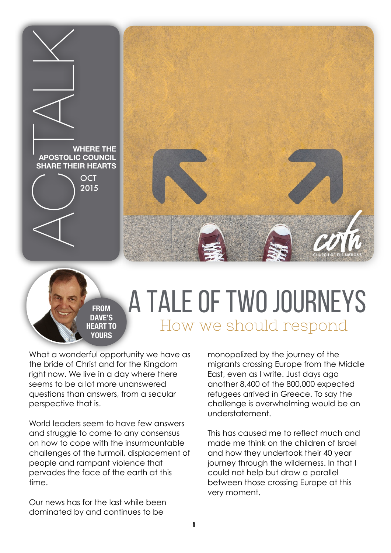

**FROM DAVE'S HEART TO** 

# **EART TO HOW WE SHOULD RESPOND FOR THE HOW WE SHOULD RESPOND** A Tale of two journeys

What a wonderful opportunity we have as the bride of Christ and for the Kingdom right now. We live in a day where there seems to be a lot more unanswered questions than answers, from a secular perspective that is.

World leaders seem to have few answers and struggle to come to any consensus on how to cope with the insurmountable challenges of the turmoil, displacement of people and rampant violence that pervades the face of the earth at this time.

Our news has for the last while been dominated by and continues to be

monopolized by the journey of the migrants crossing Europe from the Middle East, even as I write. Just days ago another 8,400 of the 800,000 expected refugees arrived in Greece. To say the challenge is overwhelming would be an understatement.

This has caused me to reflect much and made me think on the children of Israel and how they undertook their 40 year journey through the wilderness. In that I could not help but draw a parallel between those crossing Europe at this very moment.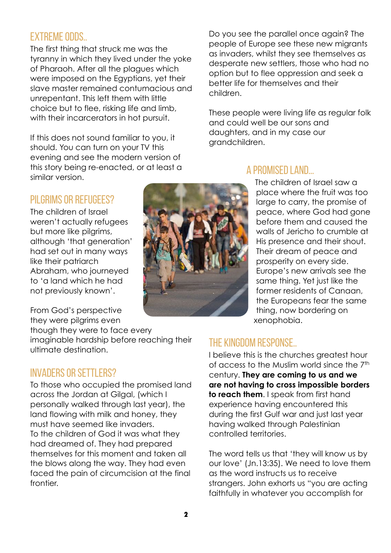#### Extreme Odds..

The first thing that struck me was the tyranny in which they lived under the yoke of Pharaoh. After all the plagues which were imposed on the Egyptians, yet their slave master remained contumacious and unrepentant. This left them with little choice but to flee, risking life and limb, with their incarcerators in hot pursuit.

If this does not sound familiar to you, it should. You can turn on your TV this evening and see the modern version of this story being re-enacted, or at least a similar version.

#### PILGRIMS OR REFUGEES?

The children of Israel weren't actually refugees but more like pilgrims, although 'that generation' had set out in many ways like their patriarch Abraham, who journeyed to 'a land which he had not previously known'.

From God's perspective they were pilgrims even

though they were to face every imaginable hardship before reaching their ultimate destination.

#### Invaders or Settlers?

To those who occupied the promised land across the Jordan at Gilgal, (which I personally walked through last year), the land flowing with milk and honey, they must have seemed like invaders. To the children of God it was what they had dreamed of. They had prepared themselves for this moment and taken all the blows along the way. They had even faced the pain of circumcision at the final frontier.



Do you see the parallel once again? The people of Europe see these new migrants as invaders, whilst they see themselves as desperate new settlers, those who had no option but to flee oppression and seek a better life for themselves and their children.

These people were living life as regular folk and could well be our sons and daughters, and in my case our grandchildren.

#### A Promised land...

The children of Israel saw a place where the fruit was too large to carry, the promise of peace, where God had gone before them and caused the walls of Jericho to crumble at His presence and their shout. Their dream of peace and prosperity on every side. Europe's new arrivals see the same thing. Yet just like the former residents of Canaan, the Europeans fear the same thing, now bordering on xenophobia.

#### The Kingdom Response..

I believe this is the churches greatest hour of access to the Muslim world since the 7<sup>th</sup> century. **They are coming to us and we are not having to cross impossible borders to reach them**. I speak from first hand experience having encountered this during the first Gulf war and just last year having walked through Palestinian controlled territories.

The word tells us that 'they will know us by our love' (Jn.13:35). We need to love them as the word instructs us to receive strangers. John exhorts us "you are acting faithfully in whatever you accomplish for